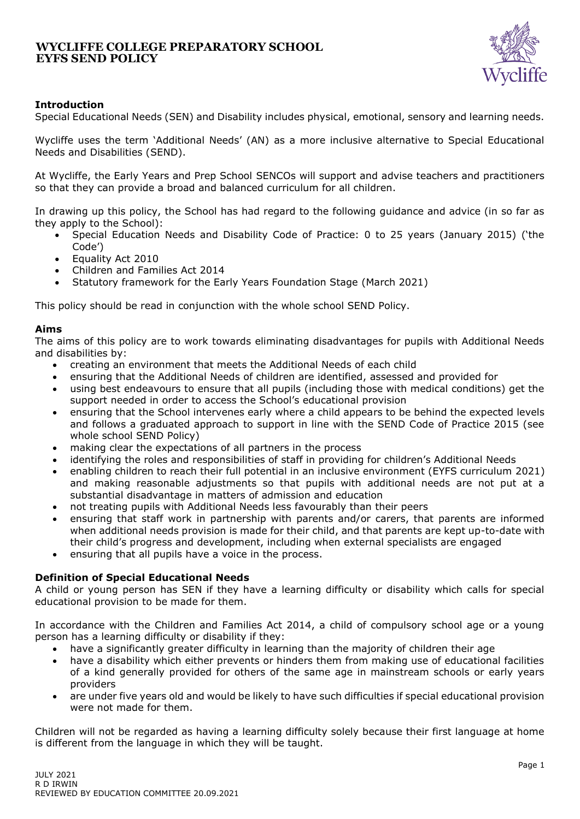

## **Introduction**

Special Educational Needs (SEN) and Disability includes physical, emotional, sensory and learning needs.

Wycliffe uses the term 'Additional Needs' (AN) as a more inclusive alternative to Special Educational Needs and Disabilities (SEND).

At Wycliffe, the Early Years and Prep School SENCOs will support and advise teachers and practitioners so that they can provide a broad and balanced curriculum for all children.

In drawing up this policy, the School has had regard to the following guidance and advice (in so far as they apply to the School):

- Special Education Needs and Disability Code of Practice: 0 to 25 years (January 2015) ('the Code')
- Equality Act 2010
- Children and Families Act 2014
- Statutory framework for the Early Years Foundation Stage (March 2021)

This policy should be read in conjunction with the whole school SEND Policy.

### **Aims**

The aims of this policy are to work towards eliminating disadvantages for pupils with Additional Needs and disabilities by:

- creating an environment that meets the Additional Needs of each child
- ensuring that the Additional Needs of children are identified, assessed and provided for
- using best endeavours to ensure that all pupils (including those with medical conditions) get the support needed in order to access the School's educational provision
- ensuring that the School intervenes early where a child appears to be behind the expected levels and follows a graduated approach to support in line with the SEND Code of Practice 2015 (see whole school SEND Policy)
- making clear the expectations of all partners in the process
- identifying the roles and responsibilities of staff in providing for children's Additional Needs
- enabling children to reach their full potential in an inclusive environment (EYFS curriculum 2021) and making reasonable adjustments so that pupils with additional needs are not put at a substantial disadvantage in matters of admission and education
- not treating pupils with Additional Needs less favourably than their peers
- ensuring that staff work in partnership with parents and/or carers, that parents are informed when additional needs provision is made for their child, and that parents are kept up-to-date with their child's progress and development, including when external specialists are engaged
- ensuring that all pupils have a voice in the process.

### **Definition of Special Educational Needs**

A child or young person has SEN if they have a learning difficulty or disability which calls for special educational provision to be made for them.

In accordance with the Children and Families Act 2014, a child of compulsory school age or a young person has a learning difficulty or disability if they:

- have a significantly greater difficulty in learning than the majority of children their age
- have a disability which either prevents or hinders them from making use of educational facilities of a kind generally provided for others of the same age in mainstream schools or early years providers
- are under five years old and would be likely to have such difficulties if special educational provision were not made for them.

Children will not be regarded as having a learning difficulty solely because their first language at home is different from the language in which they will be taught.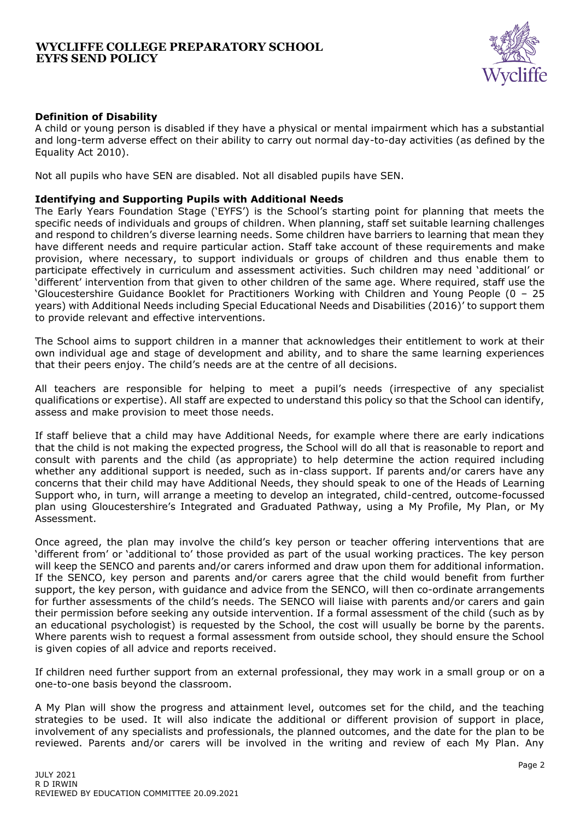

## **Definition of Disability**

A child or young person is disabled if they have a physical or mental impairment which has a substantial and long-term adverse effect on their ability to carry out normal day-to-day activities (as defined by the Equality Act 2010).

Not all pupils who have SEN are disabled. Not all disabled pupils have SEN.

#### **Identifying and Supporting Pupils with Additional Needs**

The Early Years Foundation Stage ('EYFS') is the School's starting point for planning that meets the specific needs of individuals and groups of children. When planning, staff set suitable learning challenges and respond to children's diverse learning needs. Some children have barriers to learning that mean they have different needs and require particular action. Staff take account of these requirements and make provision, where necessary, to support individuals or groups of children and thus enable them to participate effectively in curriculum and assessment activities. Such children may need 'additional' or 'different' intervention from that given to other children of the same age. Where required, staff use the 'Gloucestershire Guidance Booklet for Practitioners Working with Children and Young People (0 – 25 years) with Additional Needs including Special Educational Needs and Disabilities (2016)' to support them to provide relevant and effective interventions.

The School aims to support children in a manner that acknowledges their entitlement to work at their own individual age and stage of development and ability, and to share the same learning experiences that their peers enjoy. The child's needs are at the centre of all decisions.

All teachers are responsible for helping to meet a pupil's needs (irrespective of any specialist qualifications or expertise). All staff are expected to understand this policy so that the School can identify, assess and make provision to meet those needs.

If staff believe that a child may have Additional Needs, for example where there are early indications that the child is not making the expected progress, the School will do all that is reasonable to report and consult with parents and the child (as appropriate) to help determine the action required including whether any additional support is needed, such as in-class support. If parents and/or carers have any concerns that their child may have Additional Needs, they should speak to one of the Heads of Learning Support who, in turn, will arrange a meeting to develop an integrated, child-centred, outcome-focussed plan using Gloucestershire's Integrated and Graduated Pathway, using a My Profile, My Plan, or My Assessment.

Once agreed, the plan may involve the child's key person or teacher offering interventions that are 'different from' or 'additional to' those provided as part of the usual working practices. The key person will keep the SENCO and parents and/or carers informed and draw upon them for additional information. If the SENCO, key person and parents and/or carers agree that the child would benefit from further support, the key person, with guidance and advice from the SENCO, will then co-ordinate arrangements for further assessments of the child's needs. The SENCO will liaise with parents and/or carers and gain their permission before seeking any outside intervention. If a formal assessment of the child (such as by an educational psychologist) is requested by the School, the cost will usually be borne by the parents. Where parents wish to request a formal assessment from outside school, they should ensure the School is given copies of all advice and reports received.

If children need further support from an external professional, they may work in a small group or on a one-to-one basis beyond the classroom.

A My Plan will show the progress and attainment level, outcomes set for the child, and the teaching strategies to be used. It will also indicate the additional or different provision of support in place, involvement of any specialists and professionals, the planned outcomes, and the date for the plan to be reviewed. Parents and/or carers will be involved in the writing and review of each My Plan. Any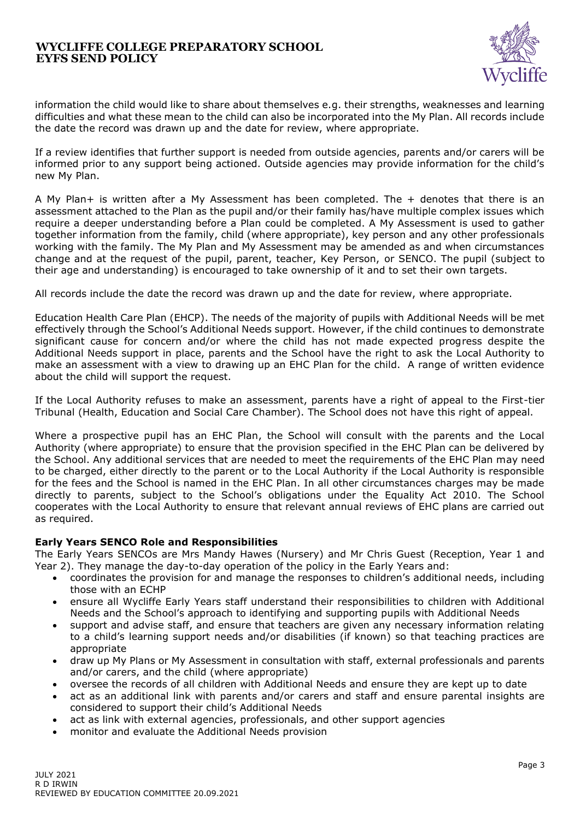

information the child would like to share about themselves e.g. their strengths, weaknesses and learning difficulties and what these mean to the child can also be incorporated into the My Plan. All records include the date the record was drawn up and the date for review, where appropriate.

If a review identifies that further support is needed from outside agencies, parents and/or carers will be informed prior to any support being actioned. Outside agencies may provide information for the child's new My Plan.

A My Plan+ is written after a My Assessment has been completed. The + denotes that there is an assessment attached to the Plan as the pupil and/or their family has/have multiple complex issues which require a deeper understanding before a Plan could be completed. A My Assessment is used to gather together information from the family, child (where appropriate), key person and any other professionals working with the family. The My Plan and My Assessment may be amended as and when circumstances change and at the request of the pupil, parent, teacher, Key Person, or SENCO. The pupil (subject to their age and understanding) is encouraged to take ownership of it and to set their own targets.

All records include the date the record was drawn up and the date for review, where appropriate.

Education Health Care Plan (EHCP). The needs of the majority of pupils with Additional Needs will be met effectively through the School's Additional Needs support. However, if the child continues to demonstrate significant cause for concern and/or where the child has not made expected progress despite the Additional Needs support in place, parents and the School have the right to ask the Local Authority to make an assessment with a view to drawing up an EHC Plan for the child. A range of written evidence about the child will support the request.

If the Local Authority refuses to make an assessment, parents have a right of appeal to the First-tier Tribunal (Health, Education and Social Care Chamber). The School does not have this right of appeal.

Where a prospective pupil has an EHC Plan, the School will consult with the parents and the Local Authority (where appropriate) to ensure that the provision specified in the EHC Plan can be delivered by the School. Any additional services that are needed to meet the requirements of the EHC Plan may need to be charged, either directly to the parent or to the Local Authority if the Local Authority is responsible for the fees and the School is named in the EHC Plan. In all other circumstances charges may be made directly to parents, subject to the School's obligations under the Equality Act 2010. The School cooperates with the Local Authority to ensure that relevant annual reviews of EHC plans are carried out as required.

## **Early Years SENCO Role and Responsibilities**

The Early Years SENCOs are Mrs Mandy Hawes (Nursery) and Mr Chris Guest (Reception, Year 1 and Year 2). They manage the day-to-day operation of the policy in the Early Years and:

- coordinates the provision for and manage the responses to children's additional needs, including those with an ECHP
- ensure all Wycliffe Early Years staff understand their responsibilities to children with Additional Needs and the School's approach to identifying and supporting pupils with Additional Needs
- support and advise staff, and ensure that teachers are given any necessary information relating to a child's learning support needs and/or disabilities (if known) so that teaching practices are appropriate
- draw up My Plans or My Assessment in consultation with staff, external professionals and parents and/or carers, and the child (where appropriate)
- oversee the records of all children with Additional Needs and ensure they are kept up to date
- act as an additional link with parents and/or carers and staff and ensure parental insights are considered to support their child's Additional Needs
- act as link with external agencies, professionals, and other support agencies
- monitor and evaluate the Additional Needs provision